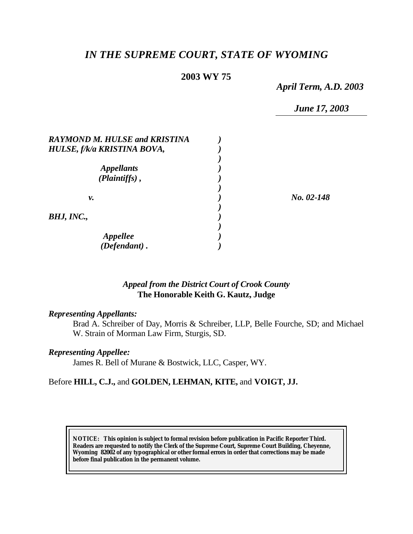# *IN THE SUPREME COURT, STATE OF WYOMING*

## **2003 WY 75**

*April Term, A.D. 2003*

*June 17, 2003*

| <b>RAYMOND M. HULSE and KRISTINA</b> |              |
|--------------------------------------|--------------|
| HULSE, f/k/a KRISTINA BOVA,          |              |
|                                      |              |
| <b>Appellants</b>                    |              |
| $(Plaintiffs)$ ,                     |              |
|                                      | $No. 02-148$ |
| ν.                                   |              |
|                                      |              |
| BHJ, INC.,                           |              |
|                                      |              |
|                                      |              |
| Appellee<br>(Defendant).             |              |

## *Appeal from the District Court of Crook County* **The Honorable Keith G. Kautz, Judge**

### *Representing Appellants:*

Brad A. Schreiber of Day, Morris & Schreiber, LLP, Belle Fourche, SD; and Michael W. Strain of Morman Law Firm, Sturgis, SD.

### *Representing Appellee:*

James R. Bell of Murane & Bostwick, LLC, Casper, WY.

### Before **HILL, C.J.,** and **GOLDEN, LEHMAN, KITE,** and **VOIGT, JJ.**

**NOTICE:** *This opinion is subject to formal revision before publication in Pacific Reporter Third. Readers are requested to notify the Clerk of the Supreme Court, Supreme Court Building, Cheyenne, Wyoming 82002 of any typographical or other formal errors in order that corrections may be made before final publication in the permanent volume.*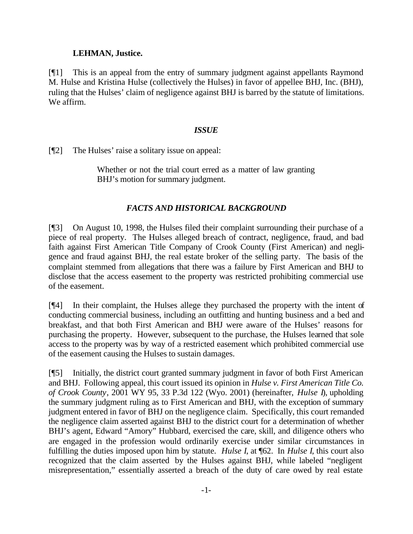### **LEHMAN, Justice.**

[¶1] This is an appeal from the entry of summary judgment against appellants Raymond M. Hulse and Kristina Hulse (collectively the Hulses) in favor of appellee BHJ, Inc. (BHJ), ruling that the Hulses' claim of negligence against BHJ is barred by the statute of limitations. We affirm.

### *ISSUE*

[¶2] The Hulses' raise a solitary issue on appeal:

Whether or not the trial court erred as a matter of law granting BHJ's motion for summary judgment.

# *FACTS AND HISTORICAL BACKGROUND*

[¶3] On August 10, 1998, the Hulses filed their complaint surrounding their purchase of a piece of real property. The Hulses alleged breach of contract, negligence, fraud, and bad faith against First American Title Company of Crook County (First American) and negligence and fraud against BHJ, the real estate broker of the selling party. The basis of the complaint stemmed from allegations that there was a failure by First American and BHJ to disclose that the access easement to the property was restricted prohibiting commercial use of the easement.

[¶4] In their complaint, the Hulses allege they purchased the property with the intent of conducting commercial business, including an outfitting and hunting business and a bed and breakfast, and that both First American and BHJ were aware of the Hulses' reasons for purchasing the property. However, subsequent to the purchase, the Hulses learned that sole access to the property was by way of a restricted easement which prohibited commercial use of the easement causing the Hulses to sustain damages.

[¶5] Initially, the district court granted summary judgment in favor of both First American and BHJ. Following appeal, this court issued its opinion in *Hulse v. First American Title Co. of Crook County*, 2001 WY 95, 33 P.3d 122 (Wyo. 2001) (hereinafter, *Hulse I*), upholding the summary judgment ruling as to First American and BHJ, with the exception of summary judgment entered in favor of BHJ on the negligence claim. Specifically, this court remanded the negligence claim asserted against BHJ to the district court for a determination of whether BHJ's agent, Edward "Amory" Hubbard, exercised the care, skill, and diligence others who are engaged in the profession would ordinarily exercise under similar circumstances in fulfilling the duties imposed upon him by statute. *Hulse I*, at ¶62. In *Hulse I*, this court also recognized that the claim asserted by the Hulses against BHJ, while labeled "negligent misrepresentation," essentially asserted a breach of the duty of care owed by real estate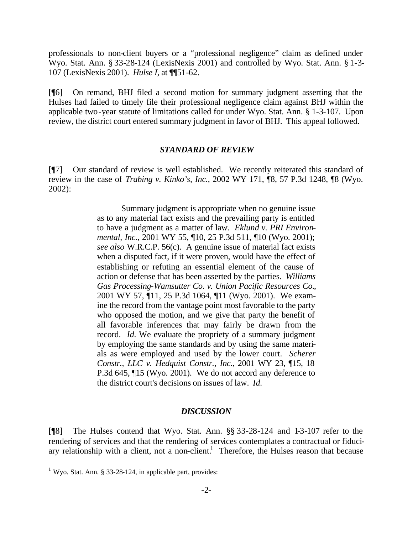professionals to non-client buyers or a "professional negligence" claim as defined under Wyo. Stat. Ann. § 33-28-124 (LexisNexis 2001) and controlled by Wyo. Stat. Ann. § 1-3- 107 (LexisNexis 2001). *Hulse I*, at ¶¶51-62.

[¶6] On remand, BHJ filed a second motion for summary judgment asserting that the Hulses had failed to timely file their professional negligence claim against BHJ within the applicable two-year statute of limitations called for under Wyo. Stat. Ann. § 1-3-107. Upon review, the district court entered summary judgment in favor of BHJ. This appeal followed.

#### *STANDARD OF REVIEW*

[¶7] Our standard of review is well established. We recently reiterated this standard of review in the case of *Trabing v. Kinko's, Inc.*, 2002 WY 171, ¶8, 57 P.3d 1248, ¶8 (Wyo. 2002):

> Summary judgment is appropriate when no genuine issue as to any material fact exists and the prevailing party is entitled to have a judgment as a matter of law. *Eklund v. PRI Environmental, Inc.*, 2001 WY 55, ¶10, 25 P.3d 511, ¶10 (Wyo. 2001); *see also* W.R.C.P. 56(c). A genuine issue of material fact exists when a disputed fact, if it were proven, would have the effect of establishing or refuting an essential element of the cause of action or defense that has been asserted by the parties. *Williams Gas Processing-Wamsutter Co. v. Union Pacific Resources Co.*, 2001 WY 57, ¶11, 25 P.3d 1064, ¶11 (Wyo. 2001). We examine the record from the vantage point most favorable to the party who opposed the motion, and we give that party the benefit of all favorable inferences that may fairly be drawn from the record. *Id.* We evaluate the propriety of a summary judgment by employing the same standards and by using the same materials as were employed and used by the lower court. *Scherer Constr., LLC v. Hedquist Constr., Inc.*, 2001 WY 23, ¶15, 18 P.3d 645, ¶15 (Wyo. 2001). We do not accord any deference to the district court's decisions on issues of law. *Id.*

### *DISCUSSION*

[¶8] The Hulses contend that Wyo. Stat. Ann. §§ 33-28-124 and 1-3-107 refer to the rendering of services and that the rendering of services contemplates a contractual or fiduciary relationship with a client, not a non-client.<sup>1</sup> Therefore, the Hulses reason that because

l

<sup>&</sup>lt;sup>1</sup> Wyo. Stat. Ann. § 33-28-124, in applicable part, provides: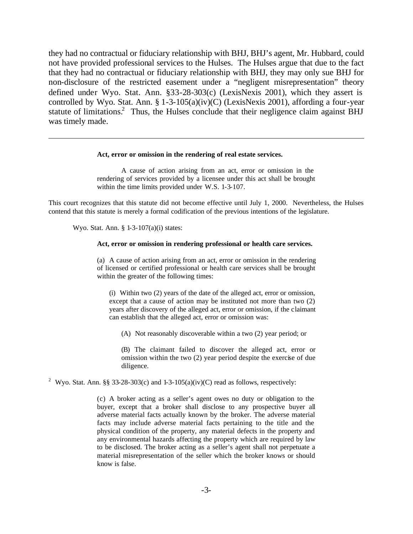they had no contractual or fiduciary relationship with BHJ, BHJ's agent, Mr. Hubbard, could not have provided professional services to the Hulses. The Hulses argue that due to the fact that they had no contractual or fiduciary relationship with BHJ, they may only sue BHJ for non-disclosure of the restricted easement under a "negligent misrepresentation" theory defined under Wyo. Stat. Ann. §33-28-303(c) (LexisNexis 2001), which they assert is controlled by Wyo. Stat. Ann. § 1-3-105(a)(iv)(C) (LexisNexis 2001), affording a four-year statute of limitations.<sup>2</sup> Thus, the Hulses conclude that their negligence claim against BHJ was timely made.

#### **Act, error or omission in the rendering of real estate services.**

A cause of action arising from an act, error or omission in the rendering of services provided by a licensee under this act shall be brought within the time limits provided under W.S. 1-3-107.

This court recognizes that this statute did not become effective until July 1, 2000. Nevertheless, the Hulses contend that this statute is merely a formal codification of the previous intentions of the legislature.

Wyo. Stat. Ann. § 1-3-107(a)(i) states:

l

#### **Act, error or omission in rendering professional or health care services.**

(a) A cause of action arising from an act, error or omission in the rendering of licensed or certified professional or health care services shall be brought within the greater of the following times:

(i) Within two (2) years of the date of the alleged act, error or omission, except that a cause of action may be instituted not more than two (2) years after discovery of the alleged act, error or omission, if the claimant can establish that the alleged act, error or omission was:

(A) Not reasonably discoverable within a two (2) year period; or

(B) The claimant failed to discover the alleged act, error or omission within the two (2) year period despite the exercise of due diligence.

<sup>2</sup> Wyo. Stat. Ann. §§ 33-28-303(c) and 1-3-105(a)(iv)(C) read as follows, respectively:

(c) A broker acting as a seller's agent owes no duty or obligation to the buyer, except that a broker shall disclose to any prospective buyer all adverse material facts actually known by the broker. The adverse material facts may include adverse material facts pertaining to the title and the physical condition of the property, any material defects in the property and any environmental hazards affecting the property which are required by law to be disclosed. The broker acting as a seller's agent shall not perpetuate a material misrepresentation of the seller which the broker knows or should know is false.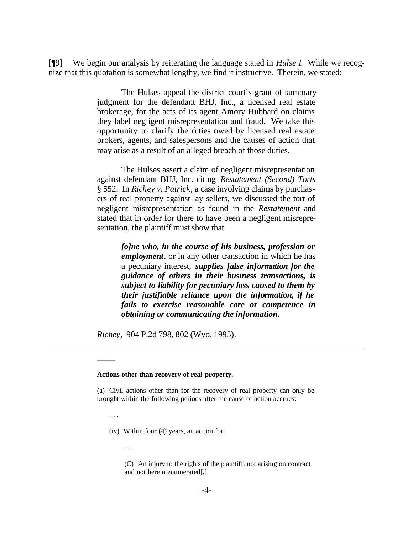[¶9] We begin our analysis by reiterating the language stated in *Hulse I*. While we recognize that this quotation is somewhat lengthy, we find it instructive. Therein, we stated:

> The Hulses appeal the district court's grant of summary judgment for the defendant BHJ, Inc., a licensed real estate brokerage, for the acts of its agent Amory Hubbard on claims they label negligent misrepresentation and fraud. We take this opportunity to clarify the duties owed by licensed real estate brokers, agents, and salespersons and the causes of action that may arise as a result of an alleged breach of those duties.

> The Hulses assert a claim of negligent misrepresentation against defendant BHJ, Inc. citing *Restatement (Second) Torts* § 552. In *Richey v. Patrick*, a case involving claims by purchasers of real property against lay sellers, we discussed the tort of negligent misrepresentation as found in the *Restatement* and stated that in order for there to have been a negligent misrepresentation, the plaintiff must show that

> > *[o]ne who, in the course of his business, profession or employment*, or in any other transaction in which he has a pecuniary interest, *supplies false information for the guidance of others in their business transactions, is subject to liability for pecuniary loss caused to them by their justifiable reliance upon the information, if he fails to exercise reasonable care or competence in obtaining or communicating the information.*

*Richey,* 904 P.2d 798, 802 (Wyo. 1995).

#### **Actions other than recovery of real property.**

(a) Civil actions other than for the recovery of real property can only be brought within the following periods after the cause of action accrues:

(iv) Within four (4) years, an action for:

. . .

 $\overline{\phantom{a}}$ 

. . .

l

(C) An injury to the rights of the plaintiff, not arising on contract and not herein enumerated[.]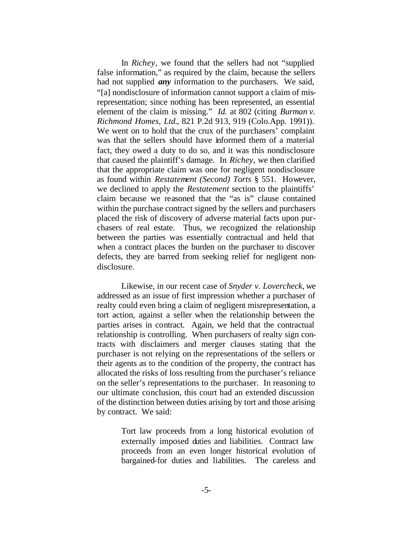In *Richey*, we found that the sellers had not "supplied false information," as required by the claim, because the sellers had not supplied *any* information to the purchasers. We said, "[a] nondisclosure of information cannot support a claim of misrepresentation; since nothing has been represented, an essential element of the claim is missing." *Id.* at 802 (citing *Burman v. Richmond Homes, Ltd.*, 821 P.2d 913, 919 (Colo.App. 1991)). We went on to hold that the crux of the purchasers' complaint was that the sellers should have informed them of a material fact, they owed a duty to do so, and it was this nondisclosure that caused the plaintiff's damage. In *Richey,* we then clarified that the appropriate claim was one for negligent nondisclosure as found within *Restatement (Second) Torts* § 551. However, we declined to apply the *Restatement* section to the plaintiffs' claim because we reasoned that the "as is" clause contained within the purchase contract signed by the sellers and purchasers placed the risk of discovery of adverse material facts upon purchasers of real estate. Thus, we recognized the relationship between the parties was essentially contractual and held that when a contract places the burden on the purchaser to discover defects, they are barred from seeking relief for negligent nondisclosure.

Likewise, in our recent case of *Snyder v. Lovercheck,* we addressed as an issue of first impression whether a purchaser of realty could even bring a claim of negligent misrepresentation, a tort action, against a seller when the relationship between the parties arises in contract. Again, we held that the contractual relationship is controlling. When purchasers of realty sign contracts with disclaimers and merger clauses stating that the purchaser is not relying on the representations of the sellers or their agents as to the condition of the property, the contract has allocated the risks of loss resulting from the purchaser's reliance on the seller's representations to the purchaser. In reasoning to our ultimate conclusion, this court had an extended discussion of the distinction between duties arising by tort and those arising by contract. We said:

> Tort law proceeds from a long historical evolution of externally imposed duties and liabilities. Contract law proceeds from an even longer historical evolution of bargained-for duties and liabilities. The careless and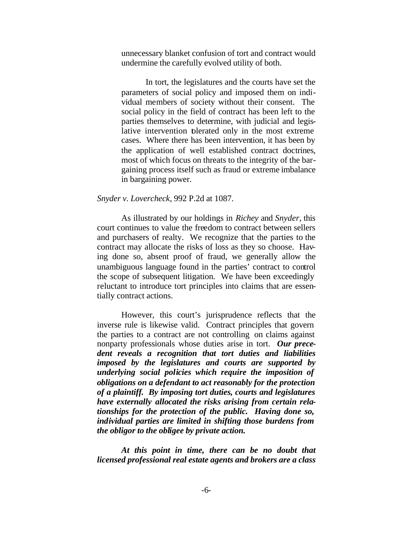unnecessary blanket confusion of tort and contract would undermine the carefully evolved utility of both.

In tort, the legislatures and the courts have set the parameters of social policy and imposed them on individual members of society without their consent. The social policy in the field of contract has been left to the parties themselves to determine, with judicial and legislative intervention tolerated only in the most extreme cases. Where there has been intervention, it has been by the application of well established contract doctrines, most of which focus on threats to the integrity of the bargaining process itself such as fraud or extreme imbalance in bargaining power.

#### *Snyder v. Lovercheck,* 992 P.2d at 1087.

As illustrated by our holdings in *Richey* and *Snyder*, this court continues to value the freedom to contract between sellers and purchasers of realty. We recognize that the parties to the contract may allocate the risks of loss as they so choose. Having done so, absent proof of fraud, we generally allow the unambiguous language found in the parties' contract to control the scope of subsequent litigation. We have been exceedingly reluctant to introduce tort principles into claims that are essentially contract actions.

However, this court's jurisprudence reflects that the inverse rule is likewise valid. Contract principles that govern the parties to a contract are not controlling on claims against nonparty professionals whose duties arise in tort. *Our precedent reveals a recognition that tort duties and liabilities imposed by the legislatures and courts are supported by underlying social policies which require the imposition of obligations on a defendant to act reasonably for the protection of a plaintiff. By imposing tort duties, courts and legislatures have externally allocated the risks arising from certain relationships for the protection of the public. Having done so, individual parties are limited in shifting those burdens from the obligor to the obligee by private action.* 

*At this point in time, there can be no doubt that licensed professional real estate agents and brokers are a class*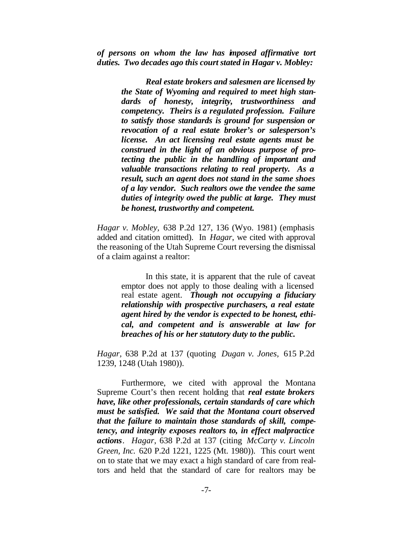*of persons on whom the law has imposed affirmative tort duties. Two decades ago this court stated in Hagar v. Mobley:*

> *Real estate brokers and salesmen are licensed by the State of Wyoming and required to meet high standards of honesty, integrity, trustworthiness and competency. Theirs is a regulated profession. Failure to satisfy those standards is ground for suspension or revocation of a real estate broker's or salesperson's license. An act licensing real estate agents must be construed in the light of an obvious purpose of protecting the public in the handling of important and valuable transactions relating to real property. As a result, such an agent does not stand in the same shoes of a lay vendor. Such realtors owe the vendee the same duties of integrity owed the public at large. They must be honest, trustworthy and competent.*

*Hagar v. Mobley,* 638 P.2d 127, 136 (Wyo. 1981) (emphasis added and citation omitted). In *Hagar*, we cited with approval the reasoning of the Utah Supreme Court reversing the dismissal of a claim against a realtor:

> In this state, it is apparent that the rule of caveat emptor does not apply to those dealing with a licensed real estate agent. *Though not occupying a fiduciary relationship with prospective purchasers, a real estate agent hired by the vendor is expected to be honest, ethical, and competent and is answerable at law for breaches of his or her statutory duty to the public.*

*Hagar,* 638 P.2d at 137 (quoting *Dugan v. Jones,* 615 P.2d 1239, 1248 (Utah 1980)).

Furthermore, we cited with approval the Montana Supreme Court's then recent holding that *real estate brokers have, like other professionals, certain standards of care which must be satisfied. We said that the Montana court observed that the failure to maintain those standards of skill, competency, and integrity exposes realtors to, in effect malpractice actions*. *Hagar*, 638 P.2d at 137 (citing *McCarty v. Lincoln Green, Inc.* 620 P.2d 1221, 1225 (Mt. 1980)). This court went on to state that we may exact a high standard of care from realtors and held that the standard of care for realtors may be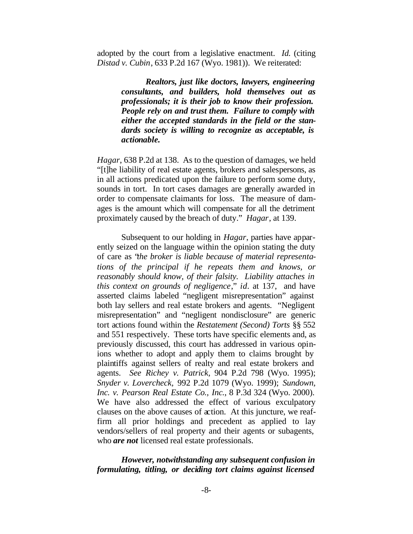adopted by the court from a legislative enactment. *Id.* (citing *Distad v. Cubin*, 633 P.2d 167 (Wyo. 1981)). We reiterated:

> *Realtors, just like doctors, lawyers, engineering consultants, and builders, hold themselves out as professionals; it is their job to know their profession. People rely on and trust them. Failure to comply with either the accepted standards in the field or the standards society is willing to recognize as acceptable, is actionable.*

*Hagar*, 638 P.2d at 138. As to the question of damages, we held "[t]he liability of real estate agents, brokers and salespersons, as in all actions predicated upon the failure to perform some duty, sounds in tort. In tort cases damages are generally awarded in order to compensate claimants for loss. The measure of damages is the amount which will compensate for all the detriment proximately caused by the breach of duty." *Hagar*, at 139.

Subsequent to our holding in *Hagar*, parties have apparently seized on the language within the opinion stating the duty of care as "*the broker is liable because of material representations of the principal if he repeats them and knows, or reasonably should know, of their falsity. Liability attaches in this context on grounds of negligence*," *id.* at 137, and have asserted claims labeled "negligent misrepresentation" against both lay sellers and real estate brokers and agents. "Negligent misrepresentation" and "negligent nondisclosure" are generic tort actions found within the *Restatement (Second) Torts* §§ 552 and 551 respectively. These torts have specific elements and, as previously discussed, this court has addressed in various opinions whether to adopt and apply them to claims brought by plaintiffs against sellers of realty and real estate brokers and agents. *See Richey v. Patrick,* 904 P.2d 798 (Wyo. 1995); *Snyder v. Lovercheck,* 992 P.2d 1079 (Wyo. 1999); *Sundown, Inc. v. Pearson Real Estate Co., Inc.*, 8 P.3d 324 (Wyo. 2000). We have also addressed the effect of various exculpatory clauses on the above causes of action. At this juncture, we reaffirm all prior holdings and precedent as applied to lay vendors/sellers of real property and their agents or subagents, who *are not* licensed real estate professionals.

*However, notwithstanding any subsequent confusion in formulating, titling, or deciding tort claims against licensed*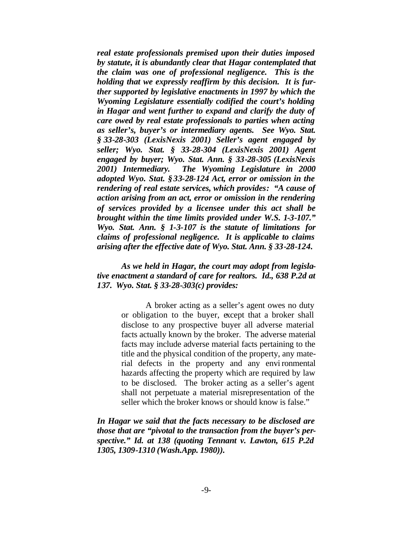*real estate professionals premised upon their duties imposed by statute, it is abundantly clear that Hagar contemplated that the claim was one of professional negligence. This is the holding that we expressly reaffirm by this decision. It is further supported by legislative enactments in 1997 by which the Wyoming Legislature essentially codified the court's holding in Hagar and went further to expand and clarify the duty of care owed by real estate professionals to parties when acting as seller's, buyer's or intermediary agents. See Wyo. Stat. § 33-28-303 (LexisNexis 2001) Seller's agent engaged by seller; Wyo. Stat. § 33-28-304 (LexisNexis 2001) Agent engaged by buyer; Wyo. Stat. Ann. § 33-28-305 (LexisNexis 2001) Intermediary. The Wyoming Legislature in 2000 adopted Wyo. Stat. §33-28-124 Act, error or omission in the rendering of real estate services, which provides: "A cause of action arising from an act, error or omission in the rendering of services provided by a licensee under this act shall be brought within the time limits provided under W.S. 1-3-107." Wyo. Stat. Ann. § 1-3-107 is the statute of limitations for claims of professional negligence. It is applicable to claims arising after the effective date of Wyo. Stat. Ann. § 33-28-124.*

### *As we held in Hagar, the court may adopt from legislative enactment a standard of care for realtors. Id., 638 P.2d at 137. Wyo. Stat. § 33-28-303(c) provides:*

A broker acting as a seller's agent owes no duty or obligation to the buyer, except that a broker shall disclose to any prospective buyer all adverse material facts actually known by the broker. The adverse material facts may include adverse material facts pertaining to the title and the physical condition of the property, any material defects in the property and any envi ronmental hazards affecting the property which are required by law to be disclosed. The broker acting as a seller's agent shall not perpetuate a material misrepresentation of the seller which the broker knows or should know is false."

*In Hagar we said that the facts necessary to be disclosed are those that are "pivotal to the transaction from the buyer's perspective." Id. at 138 (quoting Tennant v. Lawton, 615 P.2d 1305, 1309-1310 (Wash.App. 1980)).*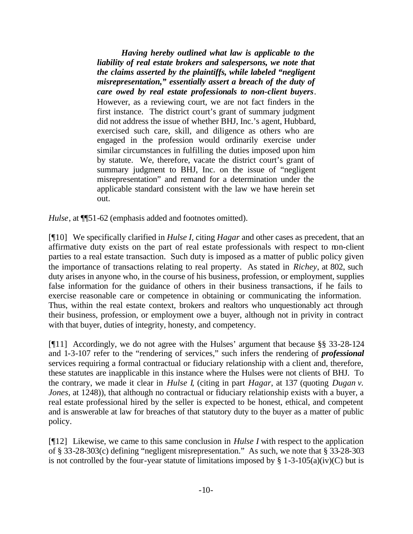*Having hereby outlined what law is applicable to the liability of real estate brokers and salespersons, we note that the claims asserted by the plaintiffs, while labeled "negligent misrepresentation," essentially assert a breach of the duty of care owed by real estate professionals to non-client buyers*. However, as a reviewing court, we are not fact finders in the first instance. The district court's grant of summary judgment did not address the issue of whether BHJ, Inc.'s agent, Hubbard, exercised such care, skill, and diligence as others who are engaged in the profession would ordinarily exercise under similar circumstances in fulfilling the duties imposed upon him by statute. We, therefore, vacate the district court's grant of summary judgment to BHJ, Inc. on the issue of "negligent misrepresentation" and remand for a determination under the applicable standard consistent with the law we have herein set out.

*Hulse*, at  $\P$ 51-62 (emphasis added and footnotes omitted).

[¶10] We specifically clarified in *Hulse I*, citing *Hagar* and other cases as precedent, that an affirmative duty exists on the part of real estate professionals with respect to non-client parties to a real estate transaction. Such duty is imposed as a matter of public policy given the importance of transactions relating to real property. As stated in *Richey*, at 802, such duty arises in anyone who, in the course of his business, profession, or employment, supplies false information for the guidance of others in their business transactions, if he fails to exercise reasonable care or competence in obtaining or communicating the information. Thus, within the real estate context, brokers and realtors who unquestionably act through their business, profession, or employment owe a buyer, although not in privity in contract with that buyer, duties of integrity, honesty, and competency.

[¶11] Accordingly, we do not agree with the Hulses' argument that because §§ 33-28-124 and 1-3-107 refer to the "rendering of services," such infers the rendering of *professional* services requiring a formal contractual or fiduciary relationship with a client and, therefore, these statutes are inapplicable in this instance where the Hulses were not clients of BHJ. To the contrary, we made it clear in *Hulse I*, (citing in part *Hagar*, at 137 (quoting *Dugan v. Jones*, at 1248)), that although no contractual or fiduciary relationship exists with a buyer, a real estate professional hired by the seller is expected to be honest, ethical, and competent and is answerable at law for breaches of that statutory duty to the buyer as a matter of public policy.

[¶12] Likewise, we came to this same conclusion in *Hulse I* with respect to the application of § 33-28-303(c) defining "negligent misrepresentation." As such, we note that § 33-28-303 is not controlled by the four-year statute of limitations imposed by  $\S$  1-3-105(a)(iv)(C) but is